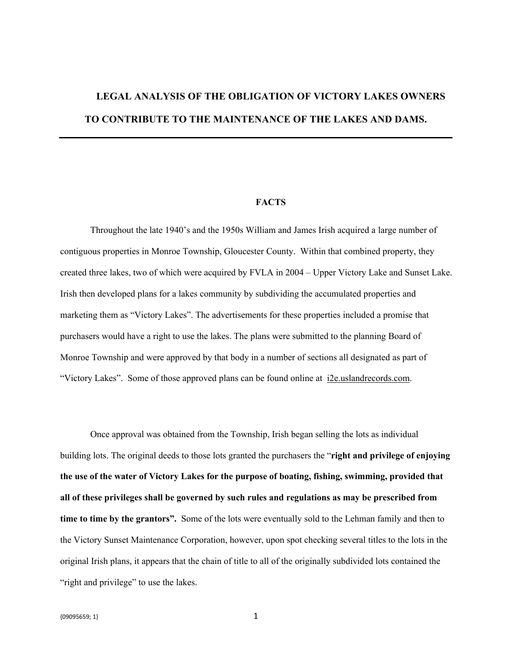# **LEGAL ANALYSIS OF THE OBLIGATION OF VICTORY LAKES OWNERS TO CONTRIBUTE TO THE MAINTENANCE OF THE LAKES AND DAMS.**

### **FACTS**

Throughout the late 1940's and the 1950s William and James Irish acquired a large number of contiguous properties in Monroe Township, Gloucester County. Within that combined property, they created three lakes, two of which were acquired by FVLA in 2004 – Upper Victory Lake and Sunset Lake. Irish then developed plans for a lakes community by subdividing the accumulated properties and marketing them as "Victory Lakes". The advertisements for these properties included a promise that purchasers would have a right to use the lakes. The plans were submitted to the planning Board of Monroe Township and were approved by that body in a number of sections all designated as part of "Victory Lakes". Some of those approved plans can be found online at i2e.uslandrecords.com.

Once approval was obtained from the Township, Irish began selling the lots as individual building lots. The original deeds to those lots granted the purchasers the "**right and privilege of enjoying the use of the water of Victory Lakes for the purpose of boating, fishing, swimming, provided that all of these privileges shall be governed by such rules and regulations as may be prescribed from time to time by the grantors".** Some of the lots were eventually sold to the Lehman family and then to the Victory Sunset Maintenance Corporation, however, upon spot checking several titles to the lots in the original Irish plans, it appears that the chain of title to all of the originally subdivided lots contained the "right and privilege" to use the lakes.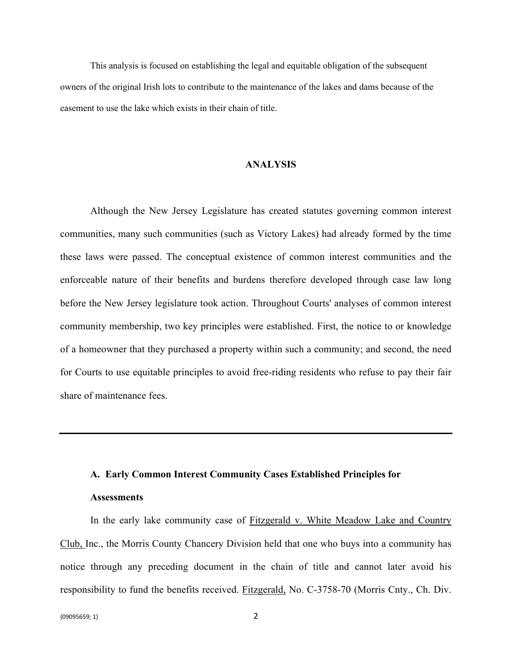This analysis is focused on establishing the legal and equitable obligation of the subsequent owners of the original Irish lots to contribute to the maintenance of the lakes and dams because of the easement to use the lake which exists in their chain of title.

#### **ANALYSIS**

Although the New Jersey Legislature has created statutes governing common interest communities, many such communities (such as Victory Lakes) had already formed by the time these laws were passed. The conceptual existence of common interest communities and the enforceable nature of their benefits and burdens therefore developed through case law long before the New Jersey legislature took action. Throughout Courts' analyses of common interest community membership, two key principles were established. First, the notice to or knowledge of a homeowner that they purchased a property within such a community; and second, the need for Courts to use equitable principles to avoid free-riding residents who refuse to pay their fair share of maintenance fees.

## **A. Early Common Interest Community Cases Established Principles for**

### **Assessments**

In the early lake community case of Fitzgerald v. White Meadow Lake and Country Club, Inc., the Morris County Chancery Division held that one who buys into a community has notice through any preceding document in the chain of title and cannot later avoid his responsibility to fund the benefits received. Fitzgerald, No. C-3758-70 (Morris Cnty., Ch. Div.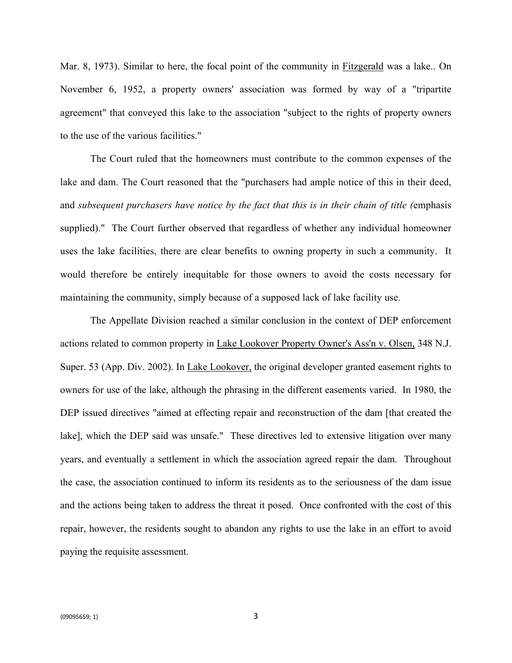Mar. 8, 1973). Similar to here, the focal point of the community in Fitzgerald was a lake.. On November 6, 1952, a property owners' association was formed by way of a "tripartite agreement" that conveyed this lake to the association "subject to the rights of property owners to the use of the various facilities."

The Court ruled that the homeowners must contribute to the common expenses of the lake and dam. The Court reasoned that the "purchasers had ample notice of this in their deed, and *subsequent purchasers have notice by the fact that this is in their chain of title (*emphasis supplied)." The Court further observed that regardless of whether any individual homeowner uses the lake facilities, there are clear benefits to owning property in such a community. It would therefore be entirely inequitable for those owners to avoid the costs necessary for maintaining the community, simply because of a supposed lack of lake facility use.

The Appellate Division reached a similar conclusion in the context of DEP enforcement actions related to common property in Lake Lookover Property Owner's Ass'n v. Olsen, 348 N.J. Super. 53 (App. Div. 2002). In Lake Lookover, the original developer granted easement rights to owners for use of the lake, although the phrasing in the different easements varied. In 1980, the DEP issued directives "aimed at effecting repair and reconstruction of the dam [that created the lake], which the DEP said was unsafe." These directives led to extensive litigation over many years, and eventually a settlement in which the association agreed repair the dam. Throughout the case, the association continued to inform its residents as to the seriousness of the dam issue and the actions being taken to address the threat it posed. Once confronted with the cost of this repair, however, the residents sought to abandon any rights to use the lake in an effort to avoid paying the requisite assessment.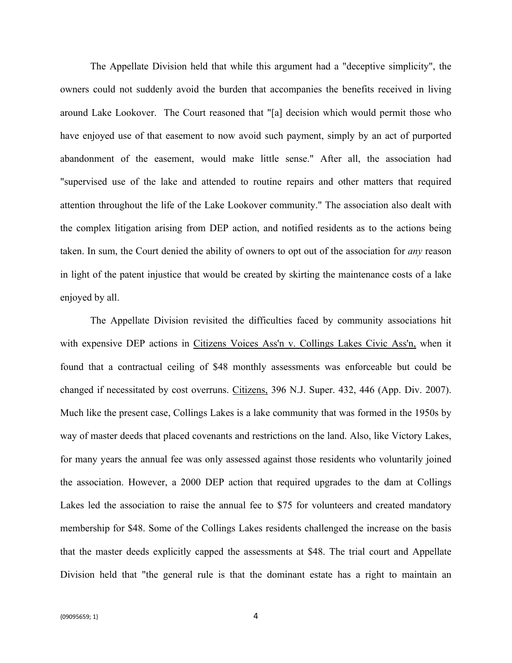The Appellate Division held that while this argument had a "deceptive simplicity", the owners could not suddenly avoid the burden that accompanies the benefits received in living around Lake Lookover. The Court reasoned that "[a] decision which would permit those who have enjoyed use of that easement to now avoid such payment, simply by an act of purported abandonment of the easement, would make little sense." After all, the association had "supervised use of the lake and attended to routine repairs and other matters that required attention throughout the life of the Lake Lookover community." The association also dealt with the complex litigation arising from DEP action, and notified residents as to the actions being taken. In sum, the Court denied the ability of owners to opt out of the association for *any* reason in light of the patent injustice that would be created by skirting the maintenance costs of a lake enjoyed by all.

The Appellate Division revisited the difficulties faced by community associations hit with expensive DEP actions in Citizens Voices Ass'n v. Collings Lakes Civic Ass'n, when it found that a contractual ceiling of \$48 monthly assessments was enforceable but could be changed if necessitated by cost overruns. Citizens, 396 N.J. Super. 432, 446 (App. Div. 2007). Much like the present case, Collings Lakes is a lake community that was formed in the 1950s by way of master deeds that placed covenants and restrictions on the land. Also, like Victory Lakes, for many years the annual fee was only assessed against those residents who voluntarily joined the association. However, a 2000 DEP action that required upgrades to the dam at Collings Lakes led the association to raise the annual fee to \$75 for volunteers and created mandatory membership for \$48. Some of the Collings Lakes residents challenged the increase on the basis that the master deeds explicitly capped the assessments at \$48. The trial court and Appellate Division held that "the general rule is that the dominant estate has a right to maintain an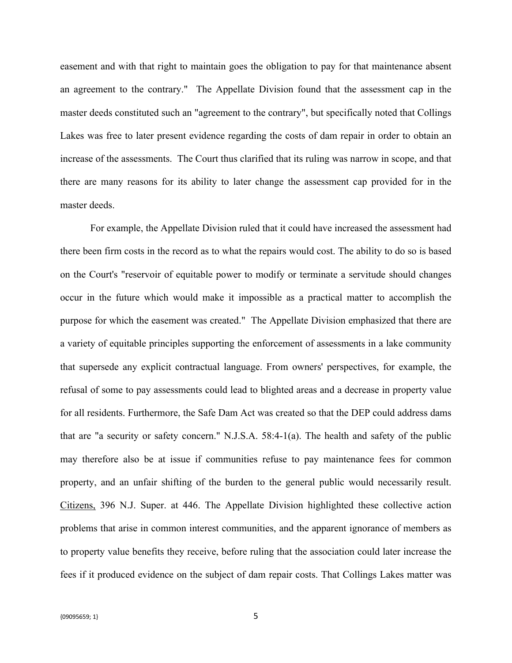easement and with that right to maintain goes the obligation to pay for that maintenance absent an agreement to the contrary." The Appellate Division found that the assessment cap in the master deeds constituted such an "agreement to the contrary", but specifically noted that Collings Lakes was free to later present evidence regarding the costs of dam repair in order to obtain an increase of the assessments. The Court thus clarified that its ruling was narrow in scope, and that there are many reasons for its ability to later change the assessment cap provided for in the master deeds.

For example, the Appellate Division ruled that it could have increased the assessment had there been firm costs in the record as to what the repairs would cost. The ability to do so is based on the Court's "reservoir of equitable power to modify or terminate a servitude should changes occur in the future which would make it impossible as a practical matter to accomplish the purpose for which the easement was created." The Appellate Division emphasized that there are a variety of equitable principles supporting the enforcement of assessments in a lake community that supersede any explicit contractual language. From owners' perspectives, for example, the refusal of some to pay assessments could lead to blighted areas and a decrease in property value for all residents. Furthermore, the Safe Dam Act was created so that the DEP could address dams that are "a security or safety concern." N.J.S.A. 58:4-1(a). The health and safety of the public may therefore also be at issue if communities refuse to pay maintenance fees for common property, and an unfair shifting of the burden to the general public would necessarily result. Citizens, 396 N.J. Super. at 446. The Appellate Division highlighted these collective action problems that arise in common interest communities, and the apparent ignorance of members as to property value benefits they receive, before ruling that the association could later increase the fees if it produced evidence on the subject of dam repair costs. That Collings Lakes matter was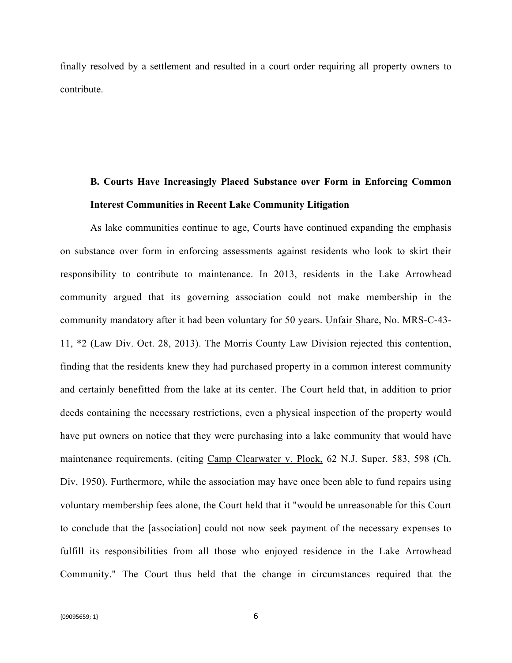finally resolved by a settlement and resulted in a court order requiring all property owners to contribute.

## **B. Courts Have Increasingly Placed Substance over Form in Enforcing Common Interest Communities in Recent Lake Community Litigation**

As lake communities continue to age, Courts have continued expanding the emphasis on substance over form in enforcing assessments against residents who look to skirt their responsibility to contribute to maintenance. In 2013, residents in the Lake Arrowhead community argued that its governing association could not make membership in the community mandatory after it had been voluntary for 50 years. Unfair Share, No. MRS-C-43- 11, \*2 (Law Div. Oct. 28, 2013). The Morris County Law Division rejected this contention, finding that the residents knew they had purchased property in a common interest community and certainly benefitted from the lake at its center. The Court held that, in addition to prior deeds containing the necessary restrictions, even a physical inspection of the property would have put owners on notice that they were purchasing into a lake community that would have maintenance requirements. (citing Camp Clearwater v. Plock, 62 N.J. Super. 583, 598 (Ch. Div. 1950). Furthermore, while the association may have once been able to fund repairs using voluntary membership fees alone, the Court held that it "would be unreasonable for this Court to conclude that the [association] could not now seek payment of the necessary expenses to fulfill its responsibilities from all those who enjoyed residence in the Lake Arrowhead Community." The Court thus held that the change in circumstances required that the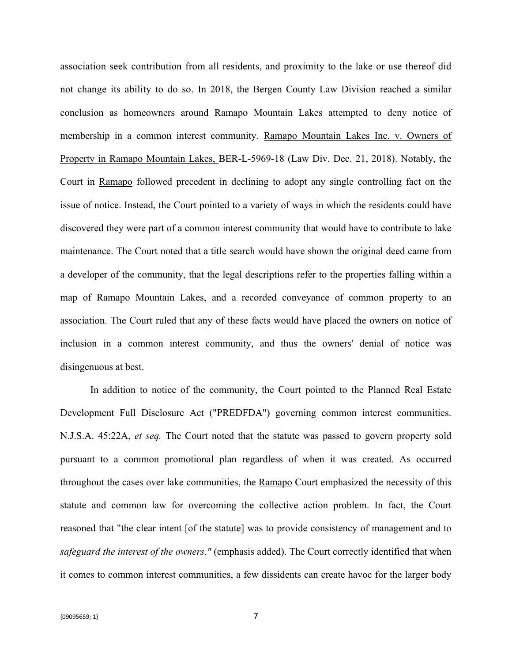association seek contribution from all residents, and proximity to the lake or use thereof did not change its ability to do so. In 2018, the Bergen County Law Division reached a similar conclusion as homeowners around Ramapo Mountain Lakes attempted to deny notice of membership in a common interest community. Ramapo Mountain Lakes Inc. v. Owners of Property in Ramapo Mountain Lakes, BER-L-5969-18 (Law Div. Dec. 21, 2018). Notably, the Court in Ramapo followed precedent in declining to adopt any single controlling fact on the issue of notice. Instead, the Court pointed to a variety of ways in which the residents could have discovered they were part of a common interest community that would have to contribute to lake maintenance. The Court noted that a title search would have shown the original deed came from a developer of the community, that the legal descriptions refer to the properties falling within a map of Ramapo Mountain Lakes, and a recorded conveyance of common property to an association. The Court ruled that any of these facts would have placed the owners on notice of inclusion in a common interest community, and thus the owners' denial of notice was disingenuous at best.

In addition to notice of the community, the Court pointed to the Planned Real Estate Development Full Disclosure Act ("PREDFDA") governing common interest communities. N.J.S.A. 45:22A, *et seq.* The Court noted that the statute was passed to govern property sold pursuant to a common promotional plan regardless of when it was created. As occurred throughout the cases over lake communities, the Ramapo Court emphasized the necessity of this statute and common law for overcoming the collective action problem. In fact, the Court reasoned that "the clear intent [of the statute] was to provide consistency of management and to *safeguard the interest of the owners."* (emphasis added). The Court correctly identified that when it comes to common interest communities, a few dissidents can create havoc for the larger body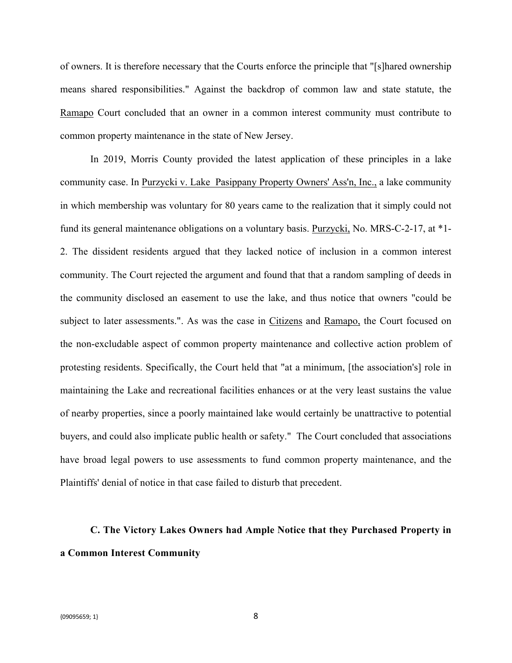of owners. It is therefore necessary that the Courts enforce the principle that "[s]hared ownership means shared responsibilities." Against the backdrop of common law and state statute, the Ramapo Court concluded that an owner in a common interest community must contribute to common property maintenance in the state of New Jersey.

In 2019, Morris County provided the latest application of these principles in a lake community case. In Purzycki v. Lake Pasippany Property Owners' Ass'n, Inc., a lake community in which membership was voluntary for 80 years came to the realization that it simply could not fund its general maintenance obligations on a voluntary basis. Purzycki, No. MRS-C-2-17, at \*1- 2. The dissident residents argued that they lacked notice of inclusion in a common interest community. The Court rejected the argument and found that that a random sampling of deeds in the community disclosed an easement to use the lake, and thus notice that owners "could be subject to later assessments.". As was the case in Citizens and Ramapo, the Court focused on the non-excludable aspect of common property maintenance and collective action problem of protesting residents. Specifically, the Court held that "at a minimum, [the association's] role in maintaining the Lake and recreational facilities enhances or at the very least sustains the value of nearby properties, since a poorly maintained lake would certainly be unattractive to potential buyers, and could also implicate public health or safety." The Court concluded that associations have broad legal powers to use assessments to fund common property maintenance, and the Plaintiffs' denial of notice in that case failed to disturb that precedent.

# **C. The Victory Lakes Owners had Ample Notice that they Purchased Property in a Common Interest Community**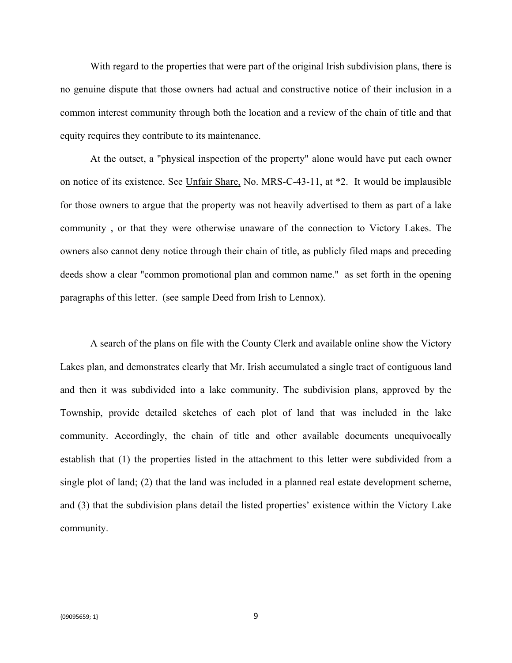With regard to the properties that were part of the original Irish subdivision plans, there is no genuine dispute that those owners had actual and constructive notice of their inclusion in a common interest community through both the location and a review of the chain of title and that equity requires they contribute to its maintenance.

At the outset, a "physical inspection of the property" alone would have put each owner on notice of its existence. See Unfair Share, No. MRS-C-43-11, at \*2. It would be implausible for those owners to argue that the property was not heavily advertised to them as part of a lake community , or that they were otherwise unaware of the connection to Victory Lakes. The owners also cannot deny notice through their chain of title, as publicly filed maps and preceding deeds show a clear "common promotional plan and common name." as set forth in the opening paragraphs of this letter. (see sample Deed from Irish to Lennox).

A search of the plans on file with the County Clerk and available online show the Victory Lakes plan, and demonstrates clearly that Mr. Irish accumulated a single tract of contiguous land and then it was subdivided into a lake community. The subdivision plans, approved by the Township, provide detailed sketches of each plot of land that was included in the lake community. Accordingly, the chain of title and other available documents unequivocally establish that (1) the properties listed in the attachment to this letter were subdivided from a single plot of land; (2) that the land was included in a planned real estate development scheme, and (3) that the subdivision plans detail the listed properties' existence within the Victory Lake community.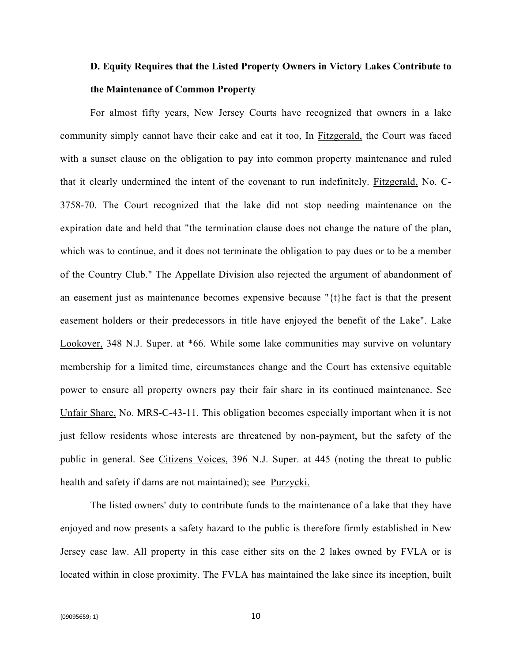## **D. Equity Requires that the Listed Property Owners in Victory Lakes Contribute to the Maintenance of Common Property**

For almost fifty years, New Jersey Courts have recognized that owners in a lake community simply cannot have their cake and eat it too, In Fitzgerald, the Court was faced with a sunset clause on the obligation to pay into common property maintenance and ruled that it clearly undermined the intent of the covenant to run indefinitely. Fitzgerald, No. C-3758-70. The Court recognized that the lake did not stop needing maintenance on the expiration date and held that "the termination clause does not change the nature of the plan, which was to continue, and it does not terminate the obligation to pay dues or to be a member of the Country Club." The Appellate Division also rejected the argument of abandonment of an easement just as maintenance becomes expensive because "{t}he fact is that the present easement holders or their predecessors in title have enjoyed the benefit of the Lake". Lake Lookover, 348 N.J. Super. at \*66. While some lake communities may survive on voluntary membership for a limited time, circumstances change and the Court has extensive equitable power to ensure all property owners pay their fair share in its continued maintenance. See Unfair Share, No. MRS-C-43-11. This obligation becomes especially important when it is not just fellow residents whose interests are threatened by non-payment, but the safety of the public in general. See Citizens Voices, 396 N.J. Super. at 445 (noting the threat to public health and safety if dams are not maintained); see Purzycki.

The listed owners' duty to contribute funds to the maintenance of a lake that they have enjoyed and now presents a safety hazard to the public is therefore firmly established in New Jersey case law. All property in this case either sits on the 2 lakes owned by FVLA or is located within in close proximity. The FVLA has maintained the lake since its inception, built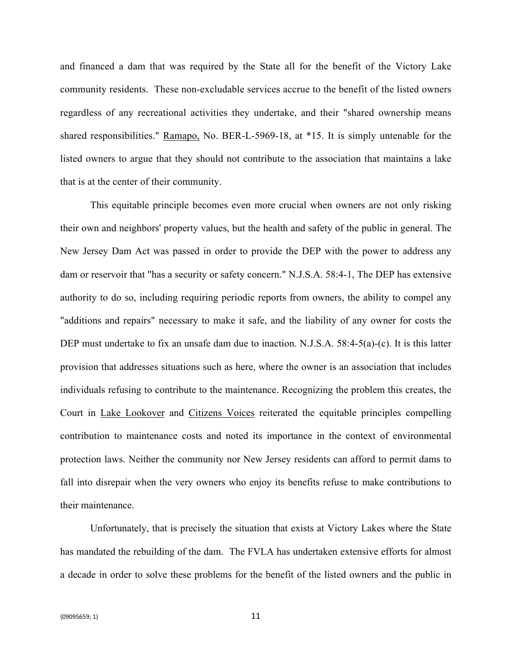and financed a dam that was required by the State all for the benefit of the Victory Lake community residents. These non-excludable services accrue to the benefit of the listed owners regardless of any recreational activities they undertake, and their "shared ownership means shared responsibilities." Ramapo, No. BER-L-5969-18, at \*15. It is simply untenable for the listed owners to argue that they should not contribute to the association that maintains a lake that is at the center of their community.

This equitable principle becomes even more crucial when owners are not only risking their own and neighbors' property values, but the health and safety of the public in general. The New Jersey Dam Act was passed in order to provide the DEP with the power to address any dam or reservoir that "has a security or safety concern." N.J.S.A. 58:4-1, The DEP has extensive authority to do so, including requiring periodic reports from owners, the ability to compel any "additions and repairs" necessary to make it safe, and the liability of any owner for costs the DEP must undertake to fix an unsafe dam due to inaction. N.J.S.A. 58:4-5(a)-(c). It is this latter provision that addresses situations such as here, where the owner is an association that includes individuals refusing to contribute to the maintenance. Recognizing the problem this creates, the Court in Lake Lookover and Citizens Voices reiterated the equitable principles compelling contribution to maintenance costs and noted its importance in the context of environmental protection laws. Neither the community nor New Jersey residents can afford to permit dams to fall into disrepair when the very owners who enjoy its benefits refuse to make contributions to their maintenance.

Unfortunately, that is precisely the situation that exists at Victory Lakes where the State has mandated the rebuilding of the dam. The FVLA has undertaken extensive efforts for almost a decade in order to solve these problems for the benefit of the listed owners and the public in